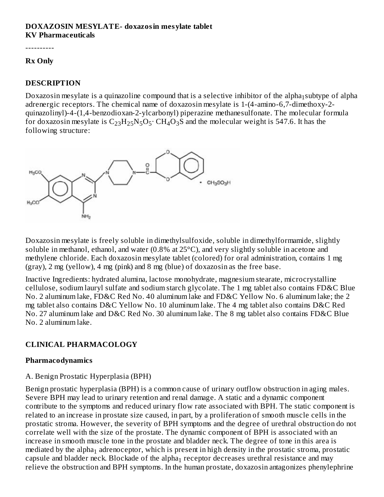### **DOXAZOSIN MESYLATE- doxazosin mesylate tablet KV Pharmaceuticals**

----------

#### **Rx Only**

### **DESCRIPTION**

Doxazosin mesylate is a quinazoline compound that is a selective inhibitor of the alpha $_1$ subtype of alpha adrenergic receptors. The chemical name of doxazosin mesylate is 1-(4-amino-6,7-dimethoxy-2 quinazolinyl)-4-(1,4-benzodioxan-2-ylcarbonyl) piperazine methanesulfonate. The molecular formula for doxazosin mesylate is  $\rm{C_{23}H_{25}N_5O_5}\cdot CH_4O_3S$  and the molecular weight is 547.6. It has the following structure:



Doxazosin mesylate is freely soluble in dimethylsulfoxide, soluble in dimethylformamide, slightly soluble in methanol, ethanol, and water (0.8% at 25°C), and very slightly soluble in acetone and methylene chloride. Each doxazosin mesylate tablet (colored) for oral administration, contains 1 mg (gray), 2 mg (yellow), 4 mg (pink) and 8 mg (blue) of doxazosin as the free base.

Inactive Ingredients: hydrated alumina, lactose monohydrate, magnesium stearate, microcrystalline cellulose, sodium lauryl sulfate and sodium starch glycolate. The 1 mg tablet also contains FD&C Blue No. 2 aluminum lake, FD&C Red No. 40 aluminum lake and FD&C Yellow No. 6 aluminum lake; the 2 mg tablet also contains D&C Yellow No. 10 aluminum lake. The 4 mg tablet also contains D&C Red No. 27 aluminum lake and D&C Red No. 30 aluminum lake. The 8 mg tablet also contains FD&C Blue No. 2 aluminum lake.

### **CLINICAL PHARMACOLOGY**

#### **Pharmacodynamics**

### A. Benign Prostatic Hyperplasia (BPH)

Benign prostatic hyperplasia (BPH) is a common cause of urinary outflow obstruction in aging males. Severe BPH may lead to urinary retention and renal damage. A static and a dynamic component contribute to the symptoms and reduced urinary flow rate associated with BPH. The static component is related to an increase in prostate size caused, in part, by a proliferation of smooth muscle cells in the prostatic stroma. However, the severity of BPH symptoms and the degree of urethral obstruction do not correlate well with the size of the prostate. The dynamic component of BPH is associated with an increase in smooth muscle tone in the prostate and bladder neck. The degree of tone in this area is mediated by the alpha $_1$  adrenoceptor, which is present in high density in the prostatic stroma, prostatic capsule and bladder neck. Blockade of the alpha $_1$  receptor decreases urethral resistance and may relieve the obstruction and BPH symptoms. In the human prostate, doxazosin antagonizes phenylephrine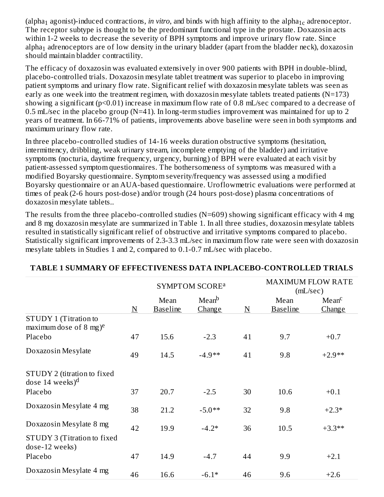(alpha<sub>1</sub> agonist)-induced contractions, *in vitro*, and binds with high affinity to the alpha<sub>1c</sub> adrenoceptor. The receptor subtype is thought to be the predominant functional type in the prostate. Doxazosin acts within 1-2 weeks to decrease the severity of BPH symptoms and improve urinary flow rate. Since alpha $_1$  adrenoceptors are of low density in the urinary bladder (apart from the bladder neck), doxazosin should maintain bladder contractility.

The efficacy of doxazosin was evaluated extensively in over 900 patients with BPH in double-blind, placebo-controlled trials. Doxazosin mesylate tablet treatment was superior to placebo in improving patient symptoms and urinary flow rate. Significant relief with doxazosin mesylate tablets was seen as early as one week into the treatment regimen, with doxazosin mesylate tablets treated patients (N=173) showing a significant (p<0.01) increase in maximum flow rate of 0.8 mL/sec compared to a decrease of 0.5 mL/sec in the placebo group (N=41). In long-term studies improvement was maintained for up to 2 years of treatment. In 66-71% of patients, improvements above baseline were seen in both symptoms and maximum urinary flow rate.

In three placebo-controlled studies of 14-16 weeks duration obstructive symptoms (hesitation, intermittency, dribbling, weak urinary stream, incomplete emptying of the bladder) and irritative symptoms (nocturia, daytime frequency, urgency, burning) of BPH were evaluated at each visit by patient-assessed symptom questionnaires. The bothersomeness of symptoms was measured with a modified Boyarsky questionnaire. Symptom severity/frequency was assessed using a modified Boyarsky questionnaire or an AUA-based questionnaire. Uroflowmetric evaluations were performed at times of peak (2-6 hours post-dose) and/or trough (24 hours post-dose) plasma concentrations of doxazosin mesylate tablets..

The results from the three placebo-controlled studies (N=609) showing significant efficacy with 4 mg and 8 mg doxazosin mesylate are summarized in Table 1. In all three studies, doxazosin mesylate tablets resulted in statistically significant relief of obstructive and irritative symptoms compared to placebo. Statistically significant improvements of 2.3-3.3 mL/sec in maximum flow rate were seen with doxazosin mesylate tablets in Studies 1 and 2, compared to 0.1-0.7 mL/sec with placebo.

|                                                              |                     | <b>SYMPTOM SCORE<sup>a</sup></b> |                             | <b>MAXIMUM FLOW RATE</b><br>(mL/sec) |                         |                             |
|--------------------------------------------------------------|---------------------|----------------------------------|-----------------------------|--------------------------------------|-------------------------|-----------------------------|
|                                                              | $\underline{\rm N}$ | Mean<br><b>Baseline</b>          | Mean <sup>b</sup><br>Change | $\underline{\rm N}$                  | Mean<br><b>Baseline</b> | Mean <sup>c</sup><br>Change |
| STUDY 1 (Titration to<br>maximum dose of 8 mg) <sup>e</sup>  |                     |                                  |                             |                                      |                         |                             |
| Placebo                                                      | 47                  | 15.6                             | $-2.3$                      | 41                                   | 9.7                     | $+0.7$                      |
| Doxazosin Mesylate                                           | 49                  | 14.5                             | $-4.9**$                    | 41                                   | 9.8                     | $+2.9**$                    |
| STUDY 2 (titration to fixed<br>dose $14$ weeks) <sup>d</sup> |                     |                                  |                             |                                      |                         |                             |
| Placebo                                                      | 37                  | 20.7                             | $-2.5$                      | 30                                   | 10.6                    | $+0.1$                      |
| Doxazosin Mesylate 4 mg                                      | 38                  | 21.2                             | $-5.0**$                    | 32                                   | 9.8                     | $+2.3*$                     |
| Doxazosin Mesylate 8 mg                                      | 42                  | 19.9                             | $-4.2*$                     | 36                                   | 10.5                    | $+3.3**$                    |
| STUDY 3 (Titration to fixed<br>dose-12 weeks)                |                     |                                  |                             |                                      |                         |                             |
| Placebo                                                      | 47                  | 14.9                             | $-4.7$                      | 44                                   | 9.9                     | $+2.1$                      |
| Doxazosin Mesylate 4 mg                                      | 46                  | 16.6                             | $-6.1*$                     | 46                                   | 9.6                     | $+2.6$                      |

# **TABLE 1 SUMMARY OF EFFECTIVENESS DATA INPLACEBO-CONTROLLED TRIALS**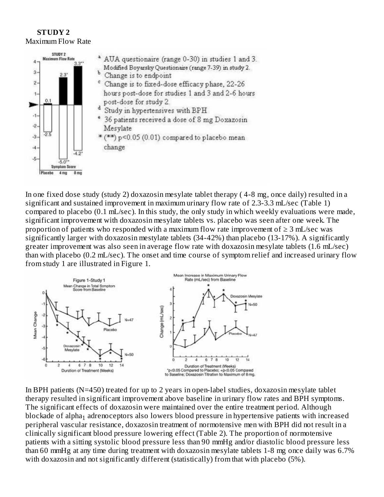#### **STUDY 2** Maximum Flow Rate



In one fixed dose study (study 2) doxazosin mesylate tablet therapy ( 4-8 mg, once daily) resulted in a significant and sustained improvement in maximum urinary flow rate of 2.3-3.3 mL/sec (Table 1) compared to placebo (0.1 mL/sec). In this study, the only study in which weekly evaluations were made, significant improvement with doxazosin mesylate tablets vs. placebo was seen after one week. The proportion of patients who responded with a maximum flow rate improvement of  $\geq 3$  mL/sec was significantly larger with doxazosin mestylate tablets (34-42%) than placebo (13-17%). A significantly greater improvement was also seen in average flow rate with doxazosin mesylate tablets (1.6 mL/sec) than with placebo (0.2 mL/sec). The onset and time course of symptom relief and increased urinary flow from study 1 are illustrated in Figure 1.



In BPH patients (N=450) treated for up to 2 years in open-label studies, doxazosin mesylate tablet therapy resulted in significant improvement above baseline in urinary flow rates and BPH symptoms. The significant effects of doxazosin were maintained over the entire treatment period. Although blockade of alpha $_{\rm 1}$  adrenoceptors also lowers blood pressure in hypertensive patients with increased peripheral vascular resistance, doxazosin treatment of normotensive men with BPH did not result in a clinically significant blood pressure lowering effect (Table 2). The proportion of normotensive patients with a sitting systolic blood pressure less than 90 mmHg and/or diastolic blood pressure less than 60 mmHg at any time during treatment with doxazosin mesylate tablets 1-8 mg once daily was 6.7% with doxazosin and not significantly different (statistically) from that with placebo (5%).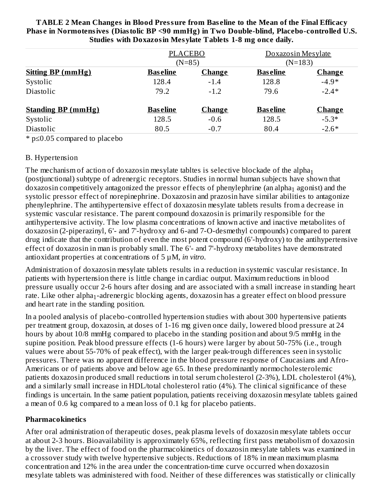| <b>TABLE 2 Mean Changes in Blood Pressure from Baseline to the Mean of the Final Efficacy</b> |
|-----------------------------------------------------------------------------------------------|
| Phase in Normotensives (Diastolic BP <90 mmHg) in Two Double-blind, Placebo-controlled U.S.   |
| <b>Studies with Doxazosin Mesylate Tablets 1-8 mg once daily.</b>                             |

|                           | <b>PLACEBO</b><br>$(N=85)$ |               | Doxazosin Mesylate<br>$(N=183)$ |               |  |
|---------------------------|----------------------------|---------------|---------------------------------|---------------|--|
| <b>Sitting BP (mmHg)</b>  | <b>Baseline</b>            | <b>Change</b> | <b>Baseline</b>                 | <b>Change</b> |  |
| Systolic                  | 128.4                      | $-1.4$        | 128.8                           | $-4.9*$       |  |
| Diastolic                 | 79.2                       | $-1.2$        | 79.6                            | $-2.4*$       |  |
| <b>Standing BP (mmHg)</b> | <b>Baseline</b>            | <b>Change</b> | <b>Baseline</b>                 | <b>Change</b> |  |
| Systolic                  | 128.5                      | $-0.6$        | 128.5                           | $-5.3*$       |  |
| Diastolic                 | 80.5                       | $-0.7$        | 80.4                            | $-2.6*$       |  |

\* p≤0.05 compared to placebo

### B. Hypertension

The mechanism of action of doxazosin mesylate tabltes is selective blockade of the alpha $_{\rm 1}$ (postjunctional) subtype of adrenergic receptors. Studies in normal human subjects have shown that doxazosin competitively antagonized the pressor effects of phenylephrine (an alpha $_1$  agonist) and the systolic pressor effect of norepinephrine. Doxazosin and prazosin have similar abilities to antagonize phenylephrine. The antihypertensive effect of doxazosin mesylate tablets results from a decrease in systemic vascular resistance. The parent compound doxazosin is primarily responsible for the antihypertensive activity. The low plasma concentrations of known active and inactive metabolites of doxazosin (2-piperazinyl, 6'- and 7'-hydroxy and 6-and 7-O-desmethyl compounds) compared to parent drug indicate that the contribution of even the most potent compound (6'-hydroxy) to the antihypertensive effect of doxazosin in man is probably small. The 6'- and 7'-hydroxy metabolites have demonstrated antioxidant properties at concentrations of 5 µM, *in vitro*.

Administration of doxazosin mesylate tablets results in a reduction in systemic vascular resistance. In patients with hypertension there is little change in cardiac output. Maximum reductions in blood pressure usually occur 2-6 hours after dosing and are associated with a small increase in standing heart rate. Like other alpha $_{\rm 1}$ -adrenergic blocking agents, doxazosin has a greater effect on blood pressure and heart rate in the standing position.

In a pooled analysis of placebo-controlled hypertension studies with about 300 hypertensive patients per treatment group, doxazosin, at doses of 1-16 mg given once daily, lowered blood pressure at 24 hours by about 10/8 mmHg compared to placebo in the standing position and about 9/5 mmHg in the supine position. Peak blood pressure effects (1-6 hours) were larger by about 50-75% (i.e., trough values were about 55-70% of peak effect), with the larger peak-trough differences seen in systolic pressures. There was no apparent difference in the blood pressure response of Caucasians and Afro-Americans or of patients above and below age 65. In these predominantly normocholesterolemic patients doxazosin produced small reductions in total serum cholesterol (2-3%), LDL cholesterol (4%), and a similarly small increase in HDL/total cholesterol ratio (4%). The clinical significance of these findings is uncertain. In the same patient population, patients receiving doxazosin mesylate tablets gained a mean of 0.6 kg compared to a mean loss of 0.1 kg for placebo patients.

### **Pharmacokinetics**

After oral administration of therapeutic doses, peak plasma levels of doxazosin mesylate tablets occur at about 2-3 hours. Bioavailability is approximately 65%, reflecting first pass metabolism of doxazosin by the liver. The effect of food on the pharmacokinetics of doxazosin mesylate tablets was examined in a crossover study with twelve hypertensive subjects. Reductions of 18% in mean maximum plasma concentration and 12% in the area under the concentration-time curve occurred when doxazosin mesylate tablets was administered with food. Neither of these differences was statistically or clinically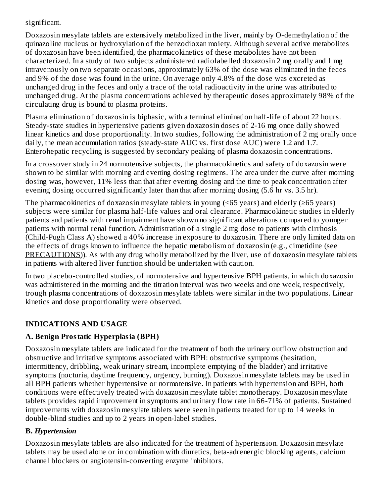### significant.

Doxazosin mesylate tablets are extensively metabolized in the liver, mainly by O-demethylation of the quinazoline nucleus or hydroxylation of the benzodioxan moiety. Although several active metabolites of doxazosin have been identified, the pharmacokinetics of these metabolites have not been characterized. In a study of two subjects administered radiolabelled doxazosin 2 mg orally and 1 mg intravenously on two separate occasions, approximately 63% of the dose was eliminated in the feces and 9% of the dose was found in the urine. On average only 4.8% of the dose was excreted as unchanged drug in the feces and only a trace of the total radioactivity in the urine was attributed to unchanged drug. At the plasma concentrations achieved by therapeutic doses approximately 98% of the circulating drug is bound to plasma proteins.

Plasma elimination of doxazosin is biphasic, with a terminal elimination half-life of about 22 hours. Steady-state studies in hypertensive patients given doxazosin doses of 2-16 mg once daily showed linear kinetics and dose proportionality. In two studies, following the administration of 2 mg orally once daily, the mean accumulation ratios (steady-state AUC vs. first dose AUC) were 1.2 and 1.7. Enterohepatic recycling is suggested by secondary peaking of plasma doxazosin concentrations.

In a crossover study in 24 normotensive subjects, the pharmacokinetics and safety of doxazosin were shown to be similar with morning and evening dosing regimens. The area under the curve after morning dosing was, however, 11% less than that after evening dosing and the time to peak concentration after evening dosing occurred significantly later than that after morning dosing (5.6 hr vs. 3.5 hr).

The pharmacokinetics of doxazosin mesylate tablets in young  $($  <65 years) and elderly  $($   $\geq$  65 years) subjects were similar for plasma half-life values and oral clearance. Pharmacokinetic studies in elderly patients and patients with renal impairment have shown no significant alterations compared to younger patients with normal renal function. Administration of a single 2 mg dose to patients with cirrhosis (Child-Pugh Class A) showed a 40% increase in exposure to doxazosin. There are only limited data on the effects of drugs known to influence the hepatic metabolism of doxazosin (e.g., cimetidine (see PRECAUTIONS)). As with any drug wholly metabolized by the liver, use of doxazosin mesylate tablets in patients with altered liver function should be undertaken with caution.

In two placebo-controlled studies, of normotensive and hypertensive BPH patients, in which doxazosin was administered in the morning and the titration interval was two weeks and one week, respectively, trough plasma concentrations of doxazosin mesylate tablets were similar in the two populations. Linear kinetics and dose proportionality were observed.

## **INDICATIONS AND USAGE**

## **A. Benign Prostatic Hyperplasia (BPH)**

Doxazosin mesylate tablets are indicated for the treatment of both the urinary outflow obstruction and obstructive and irritative symptoms associated with BPH: obstructive symptoms (hesitation, intermittency, dribbling, weak urinary stream, incomplete emptying of the bladder) and irritative symptoms (nocturia, daytime frequency, urgency, burning). Doxazosin mesylate tablets may be used in all BPH patients whether hypertensive or normotensive. In patients with hypertension and BPH, both conditions were effectively treated with doxazosin mesylate tablet monotherapy. Doxazosin mesylate tablets provides rapid improvement in symptoms and urinary flow rate in 66-71% of patients. Sustained improvements with doxazosin mesylate tablets were seen in patients treated for up to 14 weeks in double-blind studies and up to 2 years in open-label studies.

## **B.** *Hypertension*

Doxazosin mesylate tablets are also indicated for the treatment of hypertension. Doxazosin mesylate tablets may be used alone or in combination with diuretics, beta-adrenergic blocking agents, calcium channel blockers or angiotensin-converting enzyme inhibitors.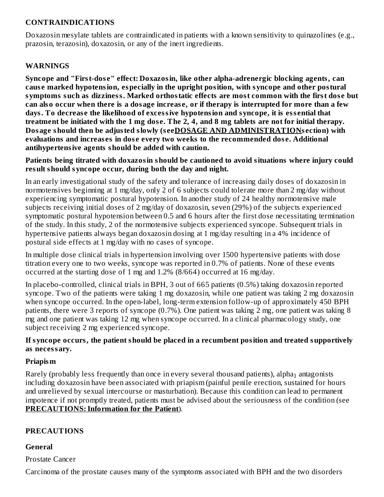### **CONTRAINDICATIONS**

Doxazosin mesylate tablets are contraindicated in patients with a known sensitivity to quinazolines (e.g., prazosin, terazosin), doxazosin, or any of the inert ingredients.

### **WARNINGS**

**Syncope and "First-dos e" effect: Doxazosin, like other alpha-adrenergic blocking agents, can caus e marked hypotension, especially in the upright position, with syncope and other postural symptoms such as dizziness. Marked orthostatic effects are most common with the first dos e but** can also occur when there is a dosage increase, or if therapy is interrupted for more than a few **days. To decreas e the likelihood of excessive hypotension and syncope, it is ess ential that** treatment be initiated with the 1 mg dose. The 2, 4, and 8 mg tablets are not for initial therapy. **Dosage should then be adjusted slowly (s eeDOSAGE AND ADMINISTRATIONs ection) with evaluations and increas es in dos e every two weeks to the recommended dos e. Additional antihypertensive agents should be added with caution.**

**Patients being titrated with doxazosin should be cautioned to avoid situations where injury could result should syncope occur, during both the day and night.**

In an early investigational study of the safety and tolerance of increasing daily doses of doxazosin in normotensives beginning at 1 mg/day, only 2 of 6 subjects could tolerate more than 2 mg/day without experiencing symptomatic postural hypotension. In another study of 24 healthy normotensive male subjects receiving initial doses of 2 mg/day of doxazosin, seven (29%) of the subjects experienced symptomatic postural hypotension between 0.5 and 6 hours after the first dose necessitating termination of the study. In this study, 2 of the normotensive subjects experienced syncope. Subsequent trials in hypertensive patients always began doxazosin dosing at 1 mg/day resulting in a 4% incidence of postural side effects at 1 mg/day with no cases of syncope.

In multiple dose clinical trials in hypertension involving over 1500 hypertensive patients with dose titration every one to two weeks, syncope was reported in 0.7% of patients. None of these events occurred at the starting dose of 1 mg and 1.2% (8/664) occurred at 16 mg/day.

In placebo-controlled, clinical trials in BPH, 3 out of 665 patients (0.5%) taking doxazosin reported syncope. Two of the patients were taking 1 mg doxazosin, while one patient was taking 2 mg doxazosin when syncope occurred. In the open-label, long-term extension follow-up of approximately 450 BPH patients, there were 3 reports of syncope (0.7%). One patient was taking 2 mg, one patient was taking 8 mg and one patient was taking 12 mg when syncope occurred. In a clinical pharmacology study, one subject receiving 2 mg experienced syncope.

### **If syncope occurs, the patient should be placed in a recumbent position and treated supportively as necessary.**

### **Priapism**

Rarely (probably less frequently than once in every several thousand patients), alpha $_1$  antagonists including doxazosin have been associated with priapism (painful penile erection, sustained for hours and unrelieved by sexual intercourse or masturbation). Because this condition can lead to permanent impotence if not promptly treated, patients must be advised about the seriousness of the condition (see **PRECAUTIONS:Information for the Patient**).

### **PRECAUTIONS**

### **General**

Prostate Cancer

Carcinoma of the prostate causes many of the symptoms associated with BPH and the two disorders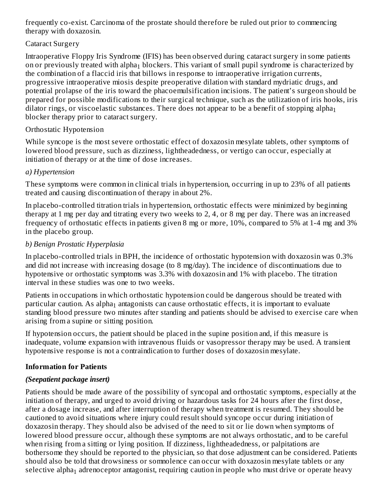frequently co-exist. Carcinoma of the prostate should therefore be ruled out prior to commencing therapy with doxazosin.

### Cataract Surgery

Intraoperative Floppy Iris Syndrome (IFIS) has been observed during cataract surgery in some patients on or previously treated with alpha $_1$  blockers. This variant of small pupil syndrome is characterized by the combination of a flaccid iris that billows in response to intraoperative irrigation currents, progressive intraoperative miosis despite preoperative dilation with standard mydriatic drugs, and potential prolapse of the iris toward the phacoemulsification incisions. The patient's surgeon should be prepared for possible modifications to their surgical technique, such as the utilization of iris hooks, iris dilator rings, or viscoelastic substances. There does not appear to be a benefit of stopping alpha $_{\rm 1}$ blocker therapy prior to cataract surgery.

### Orthostatic Hypotension

While syncope is the most severe orthostatic effect of doxazosin mesylate tablets, other symptoms of lowered blood pressure, such as dizziness, lightheadedness, or vertigo can occur, especially at initiation of therapy or at the time of dose increases.

## *a) Hypertension*

These symptoms were common in clinical trials in hypertension, occurring in up to 23% of all patients treated and causing discontinuation of therapy in about 2%.

In placebo-controlled titration trials in hypertension, orthostatic effects were minimized by beginning therapy at 1 mg per day and titrating every two weeks to 2, 4, or 8 mg per day. There was an increased frequency of orthostatic effects in patients given 8 mg or more, 10%, compared to 5% at 1-4 mg and 3% in the placebo group.

## *b) Benign Prostatic Hyperplasia*

In placebo-controlled trials in BPH, the incidence of orthostatic hypotension with doxazosin was 0.3% and did not increase with increasing dosage (to 8 mg/day). The incidence of discontinuations due to hypotensive or orthostatic symptoms was 3.3% with doxazosin and 1% with placebo. The titration interval in these studies was one to two weeks.

Patients in occupations in which orthostatic hypotension could be dangerous should be treated with particular caution. As alpha $_{\rm 1}$  antagonists can cause orthostatic effects, it is important to evaluate standing blood pressure two minutes after standing and patients should be advised to exercise care when arising from a supine or sitting position.

If hypotension occurs, the patient should be placed in the supine position and, if this measure is inadequate, volume expansion with intravenous fluids or vasopressor therapy may be used. A transient hypotensive response is not a contraindication to further doses of doxazosin mesylate.

## **Information for Patients**

## *(Seepatient package insert)*

Patients should be made aware of the possibility of syncopal and orthostatic symptoms, especially at the initiation of therapy, and urged to avoid driving or hazardous tasks for 24 hours after the first dose, after a dosage increase, and after interruption of therapy when treatment is resumed. They should be cautioned to avoid situations where injury could result should syncope occur during initiation of doxazosin therapy. They should also be advised of the need to sit or lie down when symptoms of lowered blood pressure occur, although these symptoms are not always orthostatic, and to be careful when rising from a sitting or lying position. If dizziness, lightheadedness, or palpitations are bothersome they should be reported to the physician, so that dose adjustment can be considered. Patients should also be told that drowsiness or somnolence can occur with doxazosin mesylate tablets or any selective alpha $_{\rm 1}$  adrenoceptor antagonist, requiring caution in people who must drive or operate heavy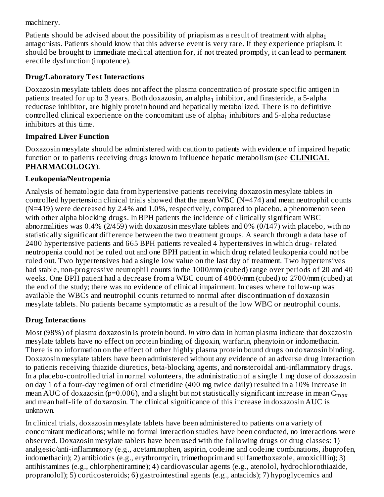machinery.

Patients should be advised about the possibility of priapism as a result of treatment with alpha $_{\rm 1}$ antagonists. Patients should know that this adverse event is very rare. If they experience priapism, it should be brought to immediate medical attention for, if not treated promptly, it can lead to permanent erectile dysfunction (impotence).

## **Drug/Laboratory Test Interactions**

 $\overline{a}$ 

Doxazosin mesylate tablets does not affect the plasma concentration of prostate specific antigen in patients treated for up to 3 years. Both doxazosin, an alpha $_1$  inhibitor, and finasteride, a 5-alpha reductase inhibitor, are highly protein bound and hepatically metabolized. There is no definitive controlled clinical experience on the concomitant use of alpha $_1$  inhibitors and 5-alpha reductase inhibitors at this time.

## **Impaired Liver Function**

Doxazosin mesylate should be administered with caution to patients with evidence of impaired hepatic function or to patients receiving drugs known to influence hepatic metabolism (see **CLINICAL PHARMACOLOGY**).

## **Leukopenia/Neutropenia**

Analysis of hematologic data from hypertensive patients receiving doxazosin mesylate tablets in controlled hypertension clinical trials showed that the mean WBC (N=474) and mean neutrophil counts (N=419) were decreased by 2.4% and 1.0%, respectively, compared to placebo, a phenomenon seen with other alpha blocking drugs. In BPH patients the incidence of clinically significant WBC abnormalities was 0.4% (2/459) with doxazosin mesylate tablets and 0% (0/147) with placebo, with no statistically significant difference between the two treatment groups. A search through a data base of 2400 hypertensive patients and 665 BPH patients revealed 4 hypertensives in which drug- related neutropenia could not be ruled out and one BPH patient in which drug related leukopenia could not be ruled out. Two hypertensives had a single low value on the last day of treatment. Two hypertensives had stable, non-progressive neutrophil counts in the 1000/mm (cubed) range over periods of 20 and 40 weeks. One BPH patient had a decrease from a WBC count of 4800/mm (cubed) to 2700/mm (cubed) at the end of the study; there was no evidence of clinical impairment. In cases where follow-up was available the WBCs and neutrophil counts returned to normal after discontinuation of doxazosin mesylate tablets. No patients became symptomatic as a result of the low WBC or neutrophil counts.

## **Drug Interactions**

Most (98%) of plasma doxazosin is protein bound. *In vitro* data in human plasma indicate that doxazosin mesylate tablets have no effect on protein binding of digoxin, warfarin, phenytoin or indomethacin. There is no information on the effect of other highly plasma protein bound drugs on doxazosin binding. Doxazosin mesylate tablets have been administered without any evidence of an adverse drug interaction to patients receiving thiazide diuretics, beta-blocking agents, and nonsteroidal anti-inflammatory drugs. In a placebo-controlled trial in normal volunteers, the administration of a single 1 mg dose of doxazosin on day 1 of a four-day regimen of oral cimetidine (400 mg twice daily) resulted in a 10% increase in mean AUC of doxazosin (p=0.006), and a slight but not statistically significant increase in mean  $\rm{C_{max}}$ and mean half-life of doxazosin. The clinical significance of this increase in doxazosin AUC is unknown.

In clinical trials, doxazosin mesylate tablets have been administered to patients on a variety of concomitant medications; while no formal interaction studies have been conducted, no interactions were observed. Doxazosin mesylate tablets have been used with the following drugs or drug classes: 1) analgesic/anti-inflammatory (e.g., acetaminophen, aspirin, codeine and codeine combinations, ibuprofen, indomethacin); 2) antibiotics (e.g., erythromycin, trimethoprim and sulfamethoxazole, amoxicillin); 3) antihistamines (e.g., chlorpheniramine); 4) cardiovascular agents (e.g., atenolol, hydrochlorothiazide, propranolol); 5) corticosteroids; 6) gastrointestinal agents (e.g., antacids); 7) hypoglycemics and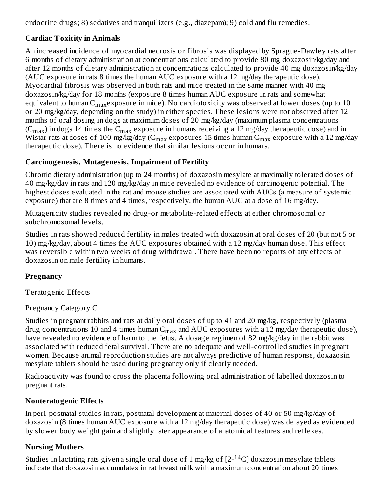endocrine drugs; 8) sedatives and tranquilizers (e.g., diazepam); 9) cold and flu remedies.

## **Cardiac Toxicity in Animals**

An increased incidence of myocardial necrosis or fibrosis was displayed by Sprague-Dawley rats after 6 months of dietary administration at concentrations calculated to provide 80 mg doxazosin/kg/day and after 12 months of dietary administration at concentrations calculated to provide 40 mg doxazosin/kg/day (AUC exposure in rats 8 times the human AUC exposure with a 12 mg/day therapeutic dose). Myocardial fibrosis was observed in both rats and mice treated in the same manner with 40 mg doxazosin/kg/day for 18 months (exposure 8 times human AUC exposure in rats and somewhat equivalent to human C $_{\rm max}$ exposure in mice). No cardiotoxicity was observed at lower doses (up to  $10$ or 20 mg/kg/day, depending on the study) in either species. These lesions were not observed after 12 months of oral dosing in dogs at maximum doses of 20 mg/kg/day (maximum plasma concentrations (C $_{\rm max}$ ) in dogs 14 times the C $_{\rm max}$  exposure in humans receiving a 12 mg/day therapeutic dose) and in Wistar rats at doses of 100 mg/kg/day (C $_{\rm max}$  exposures 15 times human C $_{\rm max}$  exposure with a 12 mg/day therapeutic dose). There is no evidence that similar lesions occur in humans.

## **Carcinogenesis, Mutagenesis, Impairment of Fertility**

Chronic dietary administration (up to 24 months) of doxazosin mesylate at maximally tolerated doses of 40 mg/kg/day in rats and 120 mg/kg/day in mice revealed no evidence of carcinogenic potential. The highest doses evaluated in the rat and mouse studies are associated with AUCs (a measure of systemic exposure) that are 8 times and 4 times, respectively, the human AUC at a dose of 16 mg/day.

Mutagenicity studies revealed no drug-or metabolite-related effects at either chromosomal or subchromosomal levels.

Studies in rats showed reduced fertility in males treated with doxazosin at oral doses of 20 (but not 5 or 10) mg/kg/day, about 4 times the AUC exposures obtained with a 12 mg/day human dose. This effect was reversible within two weeks of drug withdrawal. There have been no reports of any effects of doxazosin on male fertility in humans.

## **Pregnancy**

Teratogenic Effects

## Pregnancy Category C

Studies in pregnant rabbits and rats at daily oral doses of up to 41 and 20 mg/kg, respectively (plasma drug concentrations 10 and 4 times human  $\textsf{C}_{\max}$  and  $\textsf{AUC}$  exposures with a 12 mg/day therapeutic dose), have revealed no evidence of harm to the fetus. A dosage regimen of 82 mg/kg/day in the rabbit was associated with reduced fetal survival. There are no adequate and well-controlled studies in pregnant women. Because animal reproduction studies are not always predictive of human response, doxazosin mesylate tablets should be used during pregnancy only if clearly needed.

Radioactivity was found to cross the placenta following oral administration of labelled doxazosin to pregnant rats.

## **Nonteratogenic Effects**

In peri-postnatal studies in rats, postnatal development at maternal doses of 40 or 50 mg/kg/day of doxazosin (8 times human AUC exposure with a 12 mg/day therapeutic dose) was delayed as evidenced by slower body weight gain and slightly later appearance of anatomical features and reflexes.

## **Nursing Mothers**

Studies in lactating rats given a single oral dose of 1 mg/kg of  $[2^{-14}C]$  doxazosin mesylate tablets indicate that doxazosin accumulates in rat breast milk with a maximum concentration about 20 times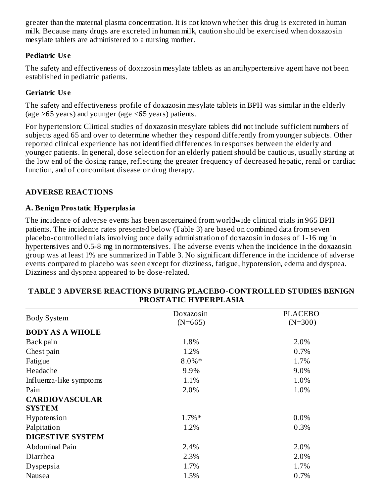greater than the maternal plasma concentration. It is not known whether this drug is excreted in human milk. Because many drugs are excreted in human milk, caution should be exercised when doxazosin mesylate tablets are administered to a nursing mother.

### **Pediatric Us e**

The safety and effectiveness of doxazosin mesylate tablets as an antihypertensive agent have not been established in pediatric patients.

### **Geriatric Us e**

The safety and effectiveness profile of doxazosin mesylate tablets in BPH was similar in the elderly (age >65 years) and younger (age <65 years) patients.

For hypertension: Clinical studies of doxazosin mesylate tablets did not include sufficient numbers of subjects aged 65 and over to determine whether they respond differently from younger subjects. Other reported clinical experience has not identified differences in responses between the elderly and younger patients. In general, dose selection for an elderly patient should be cautious, usually starting at the low end of the dosing range, reflecting the greater frequency of decreased hepatic, renal or cardiac function, and of concomitant disease or drug therapy.

## **ADVERSE REACTIONS**

### **A. Benign Prostatic Hyperplasia**

The incidence of adverse events has been ascertained from worldwide clinical trials in 965 BPH patients. The incidence rates presented below (Table 3) are based on combined data from seven placebo-controlled trials involving once daily administration of doxazosin in doses of 1-16 mg in hypertensives and 0.5-8 mg in normotensives. The adverse events when the incidence in the doxazosin group was at least 1% are summarized in Table 3. No significant difference in the incidence of adverse events compared to placebo was seen except for dizziness, fatigue, hypotension, edema and dyspnea. Dizziness and dyspnea appeared to be dose-related.

|                         | Doxazosin | <b>PLACEBO</b> |
|-------------------------|-----------|----------------|
| <b>Body System</b>      | $(N=665)$ | $(N=300)$      |
| <b>BODY AS A WHOLE</b>  |           |                |
| Back pain               | 1.8%      | 2.0%           |
| Chest pain              | 1.2%      | 0.7%           |
| Fatigue                 | $8.0\%*$  | 1.7%           |
| Headache                | 9.9%      | 9.0%           |
| Influenza-like symptoms | 1.1%      | 1.0%           |
| Pain                    | 2.0%      | 1.0%           |
| <b>CARDIOVASCULAR</b>   |           |                |
| <b>SYSTEM</b>           |           |                |
| Hypotension             | $1.7\%*$  | 0.0%           |
| Palpitation             | 1.2%      | 0.3%           |
| <b>DIGESTIVE SYSTEM</b> |           |                |
| Abdominal Pain          | 2.4%      | 2.0%           |
| Diarrhea                | 2.3%      | 2.0%           |
| Dyspepsia               | 1.7%      | 1.7%           |
| Nausea                  | 1.5%      | 0.7%           |

#### **TABLE 3 ADVERSE REACTIONS DURING PLACEBO-CONTROLLED STUDIES BENIGN PROSTATIC HYPERPLASIA**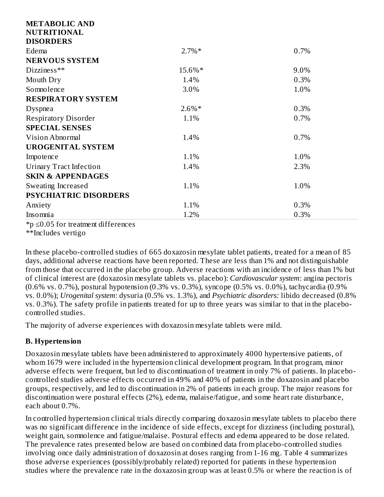| <b>METABOLIC AND</b>           |          |      |
|--------------------------------|----------|------|
| <b>NUTRITIONAL</b>             |          |      |
| <b>DISORDERS</b>               |          |      |
| Edema                          | $2.7\%*$ | 0.7% |
| <b>NERVOUS SYSTEM</b>          |          |      |
| Dizziness**                    | 15.6%*   | 9.0% |
| Mouth Dry                      | 1.4%     | 0.3% |
| Somnolence                     | 3.0%     | 1.0% |
| <b>RESPIRATORY SYSTEM</b>      |          |      |
| Dyspnea                        | $2.6\%*$ | 0.3% |
| <b>Respiratory Disorder</b>    | 1.1%     | 0.7% |
| <b>SPECIAL SENSES</b>          |          |      |
| Vision Abnormal                | 1.4%     | 0.7% |
| <b>UROGENITAL SYSTEM</b>       |          |      |
| Impotence                      | 1.1%     | 1.0% |
| <b>Urinary Tract Infection</b> | 1.4%     | 2.3% |
| <b>SKIN &amp; APPENDAGES</b>   |          |      |
| Sweating Increased             | 1.1%     | 1.0% |
| <b>PSYCHIATRIC DISORDERS</b>   |          |      |
| Anxiety                        | 1.1%     | 0.3% |
| Insomnia                       | 1.2%     | 0.3% |

\*p ≤0.05 for treatment differences

\*\*Includes vertigo

In these placebo-controlled studies of 665 doxazosin mesylate tablet patients, treated for a mean of 85 days, additional adverse reactions have been reported. These are less than 1% and not distinguishable from those that occurred in the placebo group. Adverse reactions with an incidence of less than 1% but of clinical interest are (doxazosin mesylate tablets vs. placebo): *Cardiovascular system*: angina pectoris (0.6% vs. 0.7%), postural hypotension (0.3% vs. 0.3%), syncope (0.5% vs. 0.0%), tachycardia (0.9% vs. 0.0%); *Urogenital system*: dysuria (0.5% vs. 1.3%), and *Psychiatric disorders:* libido decreased (0.8% vs. 0.3%). The safety profile in patients treated for up to three years was similar to that in the placebocontrolled studies.

The majority of adverse experiences with doxazosin mesylate tablets were mild.

## **B. Hypertension**

Doxazosin mesylate tablets have been administered to approximately 4000 hypertensive patients, of whom 1679 were included in the hypertension clinical development program. In that program, minor adverse effects were frequent, but led to discontinuation of treatment in only 7% of patients. In placebocontrolled studies adverse effects occurred in 49% and 40% of patients in the doxazosin and placebo groups, respectively, and led to discontinuation in 2% of patients in each group. The major reasons for discontinuation were postural effects (2%), edema, malaise/fatigue, and some heart rate disturbance, each about 0.7%.

In controlled hypertension clinical trials directly comparing doxazosin mesylate tablets to placebo there was no significant difference in the incidence of side effects, except for dizziness (including postural), weight gain, somnolence and fatigue/malaise. Postural effects and edema appeared to be dose related. The prevalence rates presented below are based on combined data from placebo-controlled studies involving once daily administration of doxazosin at doses ranging from 1-16 mg. Table 4 summarizes those adverse experiences (possibly/probably related) reported for patients in these hypertension studies where the prevalence rate in the doxazosin group was at least 0.5% or where the reaction is of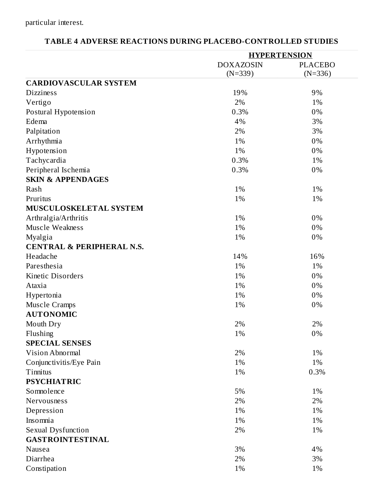|                                      | <b>HYPERTENSION</b>           |                             |  |
|--------------------------------------|-------------------------------|-----------------------------|--|
|                                      | <b>DOXAZOSIN</b><br>$(N=339)$ | <b>PLACEBO</b><br>$(N=336)$ |  |
| <b>CARDIOVASCULAR SYSTEM</b>         |                               |                             |  |
| <b>Dizziness</b>                     | 19%                           | 9%                          |  |
| Vertigo                              | 2%                            | 1%                          |  |
| Postural Hypotension                 | 0.3%                          | 0%                          |  |
| Edema                                | 4%                            | 3%                          |  |
| Palpitation                          | 2%                            | 3%                          |  |
| Arrhythmia                           | 1%                            | 0%                          |  |
| Hypotension                          | 1%                            | 0%                          |  |
| Tachycardia                          | 0.3%                          | 1%                          |  |
| Peripheral Ischemia                  | 0.3%                          | 0%                          |  |
| <b>SKIN &amp; APPENDAGES</b>         |                               |                             |  |
| Rash                                 | 1%                            | 1%                          |  |
| Pruritus                             | 1%                            | 1%                          |  |
| MUSCULOSKELETAL SYSTEM               |                               |                             |  |
| Arthralgia/Arthritis                 | 1%                            | 0%                          |  |
| Muscle Weakness                      | 1%                            | 0%                          |  |
| Myalgia                              | 1%                            | 0%                          |  |
| <b>CENTRAL &amp; PERIPHERAL N.S.</b> |                               |                             |  |
| Headache                             | 14%                           | 16%                         |  |
| Paresthesia                          | 1%                            | 1%                          |  |
| <b>Kinetic Disorders</b>             | 1%                            | 0%                          |  |
| Ataxia                               | 1%                            | 0%                          |  |
| Hypertonia                           | 1%                            | 0%                          |  |
| Muscle Cramps                        | 1%                            | 0%                          |  |
| <b>AUTONOMIC</b>                     |                               |                             |  |
| Mouth Dry                            | 2%                            | 2%                          |  |
| Flushing                             | 1%                            | 0%                          |  |
| <b>SPECIAL SENSES</b>                |                               |                             |  |
| Vision Abnormal                      | 2%                            | 1%                          |  |
| Conjunctivitis/Eye Pain              | 1%                            | 1%                          |  |
| Tinnitus                             | 1%                            | 0.3%                        |  |
| <b>PSYCHIATRIC</b>                   |                               |                             |  |
| Somnolence                           | 5%                            | 1%                          |  |
| Nervousness                          | 2%                            | 2%                          |  |
| Depression                           | 1%                            | 1%                          |  |
| Insomnia                             | 1%                            | 1%                          |  |
| <b>Sexual Dysfunction</b>            | 2%                            | 1%                          |  |
| <b>GASTROINTESTINAL</b>              |                               |                             |  |
| Nausea                               | 3%                            | 4%                          |  |
| Diarrhea                             | 2%                            | 3%                          |  |
| Constipation                         | 1%                            | 1%                          |  |

## **TABLE 4 ADVERSE REACTIONS DURING PLACEBO-CONTROLLED STUDIES**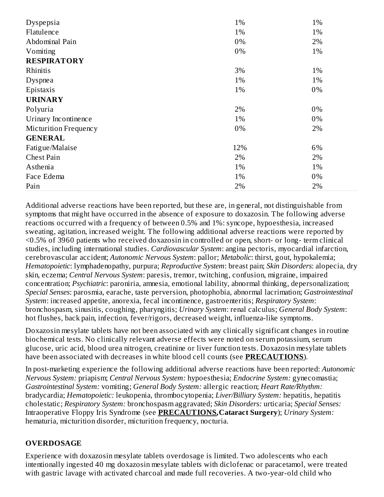| Dyspepsia             | 1%  | 1% |
|-----------------------|-----|----|
| Flatulence            | 1%  | 1% |
| Abdominal Pain        | 0%  | 2% |
| Vomiting              | 0%  | 1% |
| <b>RESPIRATORY</b>    |     |    |
| Rhinitis              | 3%  | 1% |
| Dyspnea               | 1%  | 1% |
| Epistaxis             | 1%  | 0% |
| <b>URINARY</b>        |     |    |
| Polyuria              | 2%  | 0% |
| Urinary Incontinence  | 1%  | 0% |
| Micturition Frequency | 0%  | 2% |
| <b>GENERAL</b>        |     |    |
| Fatigue/Malaise       | 12% | 6% |
| <b>Chest Pain</b>     | 2%  | 2% |
| Asthenia              | 1%  | 1% |
| Face Edema            | 1%  | 0% |
| Pain                  | 2%  | 2% |

Additional adverse reactions have been reported, but these are, in general, not distinguishable from symptoms that might have occurred in the absence of exposure to doxazosin. The following adverse reactions occurred with a frequency of between 0.5% and 1%: syncope, hypoesthesia, increased sweating, agitation, increased weight. The following additional adverse reactions were reported by <0.5% of 3960 patients who received doxazosin in controlled or open, short- or long- term clinical studies, including international studies. *Cardiovascular System*: angina pectoris, myocardial infarction, cerebrovascular accident; *Autonomic Nervous System*: pallor; *Metabolic*: thirst, gout, hypokalemia; *Hematopoietic*: lymphadenopathy, purpura; *Reproductive System*: breast pain; *Skin Disorders*: alopecia, dry skin, eczema; *Central Nervous System*: paresis, tremor, twitching, confusion, migraine, impaired concentration; *Psychiatric*: paroniria, amnesia, emotional lability, abnormal thinking, depersonalization; *Special Senses*: parosmia, earache, taste perversion, photophobia, abnormal lacrimation; *Gastrointestinal System*: increased appetite, anorexia, fecal incontinence, gastroenteritis; *Respiratory System*: bronchospasm, sinusitis, coughing, pharyngitis; *Urinary System*: renal calculus; *General Body System*: hot flushes, back pain, infection, fever/rigors, decreased weight, influenza-like symptoms.

Doxazosin mesylate tablets have not been associated with any clinically significant changes in routine biochemical tests. No clinically relevant adverse effects were noted on serum potassium, serum glucose, uric acid, blood urea nitrogen, creatinine or liver function tests. Doxazosin mesylate tablets have been associated with decreases in white blood cell counts (see **PRECAUTIONS**).

In post-marketing experience the following additional adverse reactions have been reported: *Autonomic Nervous System:* priapism; *Central Nervous System:* hypoesthesia; *Endocrine System:* gynecomastia; *Gastrointestinal System:* vomiting; *General Body System:* allergic reaction; *Heart Rate/Rhythm:* bradycardia; *Hematopoietic:* leukopenia, thrombocytopenia; *Liver/Billiary System:* hepatitis, hepatitis cholestatic; *Respiratory System:* bronchospasm aggravated; *Skin Disorders:* urticaria; *Special Senses:* Intraoperative Floppy Iris Syndrome (see **PRECAUTIONS,Cataract Surgery**); *Urinary System:* hematuria, micturition disorder, micturition frequency, nocturia.

## **OVERDOSAGE**

Experience with doxazosin mesylate tablets overdosage is limited. Two adolescents who each intentionally ingested 40 mg doxazosin mesylate tablets with diclofenac or paracetamol, were treated with gastric lavage with activated charcoal and made full recoveries. A two-year-old child who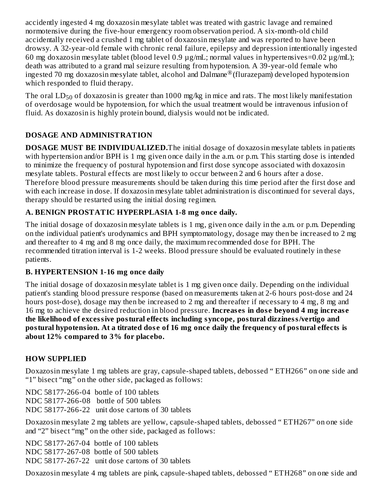accidently ingested 4 mg doxazosin mesylate tablet was treated with gastric lavage and remained normotensive during the five-hour emergency room observation period. A six-month-old child accidentally received a crushed 1 mg tablet of doxazosin mesylate and was reported to have been drowsy. A 32-year-old female with chronic renal failure, epilepsy and depression intentionally ingested 60 mg doxazosin mesylate tablet (blood level 0.9 µg/mL; normal values in hypertensives=0.02 µg/mL); death was attributed to a grand mal seizure resulting from hypotension. A 39-year-old female who ingested 70 mg doxazosin mesylate tablet, alcohol and Dalmane® (flurazepam) developed hypotension which responded to fluid therapy.

The oral  $\mathrm{LD}_{50}$  of doxazosin is greater than 1000 mg/kg in mice and rats. The most likely manifestation of overdosage would be hypotension, for which the usual treatment would be intravenous infusion of fluid. As doxazosin is highly protein bound, dialysis would not be indicated.

## **DOSAGE AND ADMINISTRATION**

**DOSAGE MUST BE INDIVIDUALIZED.**The initial dosage of doxazosin mesylate tablets in patients with hypertension and/or BPH is 1 mg given once daily in the a.m. or p.m. This starting dose is intended to minimize the frequency of postural hypotension and first dose syncope associated with doxazosin mesylate tablets. Postural effects are most likely to occur between 2 and 6 hours after a dose. Therefore blood pressure measurements should be taken during this time period after the first dose and with each increase in dose. If doxazosin mesylate tablet administration is discontinued for several days, therapy should be restarted using the initial dosing regimen.

## **A. BENIGN PROSTATIC HYPERPLASIA 1-8 mg once daily.**

The initial dosage of doxazosin mesylate tablets is 1 mg, given once daily in the a.m. or p.m. Depending on the individual patient's urodynamics and BPH symptomatology, dosage may then be increased to 2 mg and thereafter to 4 mg and 8 mg once daily, the maximum recommended dose for BPH. The recommended titration interval is 1-2 weeks. Blood pressure should be evaluated routinely in these patients.

### **B. HYPERTENSION 1-16 mg once daily**

The initial dosage of doxazosin mesylate tablet is 1 mg given once daily. Depending on the individual patient's standing blood pressure response (based on measurements taken at 2-6 hours post-dose and 24 hours post-dose), dosage may then be increased to 2 mg and thereafter if necessary to 4 mg, 8 mg and 16 mg to achieve the desired reduction in blood pressure. **Increas es in dos e beyond 4 mg increas e the likelihood of excessive postural effects including syncope, postural dizziness/vertigo and postural hypotension. At a titrated dos e of 16 mg once daily the frequency of postural effects is about 12% compared to 3% for placebo.**

### **HOW SUPPLIED**

Doxazosin mesylate 1 mg tablets are gray, capsule-shaped tablets, debossed " ETH266" on one side and "1" bisect "mg" on the other side, packaged as follows:

NDC 58177-266-04 bottle of 100 tablets NDC 58177-266-08 bottle of 500 tablets NDC 58177-266-22 unit dose cartons of 30 tablets

Doxazosin mesylate 2 mg tablets are yellow, capsule-shaped tablets, debossed " ETH267" on one side and "2" bisect "mg" on the other side, packaged as follows:

NDC 58177-267-04 bottle of 100 tablets NDC 58177-267-08 bottle of 500 tablets NDC 58177-267-22 unit dose cartons of 30 tablets

Doxazosin mesylate 4 mg tablets are pink, capsule-shaped tablets, debossed " ETH268" on one side and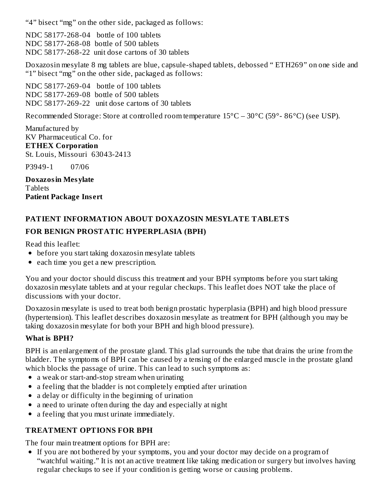"4" bisect "mg" on the other side, packaged as follows:

NDC 58177-268-04 bottle of 100 tablets NDC 58177-268-08 bottle of 500 tablets NDC 58177-268-22 unit dose cartons of 30 tablets

Doxazosin mesylate 8 mg tablets are blue, capsule-shaped tablets, debossed " ETH269" on one side and "1" bisect "mg" on the other side, packaged as follows:

NDC 58177-269-04 bottle of 100 tablets NDC 58177-269-08 bottle of 500 tablets NDC 58177-269-22 unit dose cartons of 30 tablets

Recommended Storage: Store at controlled room temperature 15°C – 30°C (59°- 86°C) (see USP).

Manufactured by KV Pharmaceutical Co. for **ETHEX Corporation** St. Louis, Missouri 63043-2413

P3949-1 07/06

**Doxazosin Mesylate Tablets Patient Package Ins ert**

# **PATIENT INFORMATION ABOUT DOXAZOSIN MESYLATE TABLETS FOR BENIGN PROSTATIC HYPERPLASIA (BPH)**

Read this leaflet:

- before you start taking doxazosin mesylate tablets
- each time you get a new prescription.

You and your doctor should discuss this treatment and your BPH symptoms before you start taking doxazosin mesylate tablets and at your regular checkups. This leaflet does NOT take the place of discussions with your doctor.

Doxazosin mesylate is used to treat both benign prostatic hyperplasia (BPH) and high blood pressure (hypertension). This leaflet describes doxazosin mesylate as treatment for BPH (although you may be taking doxazosin mesylate for both your BPH and high blood pressure).

## **What is BPH?**

BPH is an enlargement of the prostate gland. This glad surrounds the tube that drains the urine from the bladder. The symptoms of BPH can be caused by a tensing of the enlarged muscle in the prostate gland which blocks the passage of urine. This can lead to such symptoms as:

- a weak or start-and-stop stream when urinating
- a feeling that the bladder is not completely emptied after urination
- a delay or difficulty in the beginning of urination
- a need to urinate often during the day and especially at night
- $\bullet$ a feeling that you must urinate immediately.

## **TREATMENT OPTIONS FOR BPH**

The four main treatment options for BPH are:

If you are not bothered by your symptoms, you and your doctor may decide on a program of "watchful waiting." It is not an active treatment like taking medication or surgery but involves having regular checkups to see if your condition is getting worse or causing problems.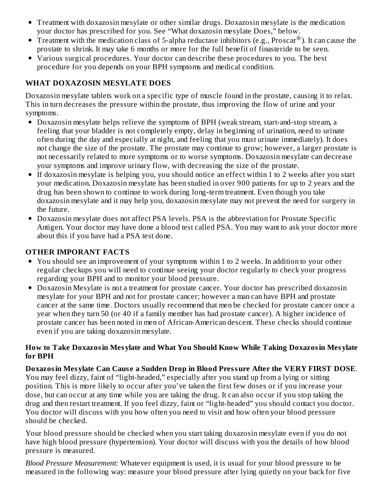- Treatment with doxazosin mesylate or other similar drugs. Doxazosin mesylate is the medication your doctor has prescribed for you. See "What doxazosin mesylate Does," below.
- Treatment with the medication class of 5-alpha reductase inhibitors (e.g., Proscar $^circledown$ ). It can cause the prostate to shrink. It may take 6 months or more for the full benefit of finasteride to be seen.
- Various surgical procedures. Your doctor can describe these procedures to you. The best procedure for you depends on your BPH symptoms and medical condition.

### **WHAT DOXAZOSIN MESYLATE DOES**

Doxazosin mesylate tablets work on a specific type of muscle found in the prostate, causing it to relax. This in turn decreases the pressure within the prostate, thus improving the flow of urine and your symptoms.

- Doxazosin mesylate helps relieve the symptoms of BPH (weak stream, start-and-stop stream, a feeling that your bladder is not completely empty, delay in beginning of urination, need to urinate often during the day and especially at night, and feeling that you must urinate immediately). It does not change the size of the prostate. The prostate may continue to grow; however, a larger prostate is not necessarily related to more symptoms or to worse symptoms. Doxazosin mesylate can decrease your symptoms and improve urinary flow, with decreasing the size of the prostate.
- If doxazosin mesylate is helping you, you should notice an effect within 1 to 2 weeks after you start your medication. Doxazosin mesylate has been studied in over 900 patients for up to 2 years and the drug has been shown to continue to work during long-term treatment. Even though you take doxazosin mesylate and it may help you, doxazosin mesylate may not prevent the need for surgery in the future.
- Doxazosin mesylate does not affect PSA levels. PSA is the abbreviation for Prostate Specific Antigen. Your doctor may have done a blood test called PSA. You may want to ask your doctor more about this if you have had a PSA test done.

### **OTHER IMPORANT FACTS**

- You should see an improvement of your symptoms within 1 to 2 weeks. In addition to your other regular checkups you will need to continue seeing your doctor regularly to check your progress regarding your BPH and to monitor your blood pressure.
- Doxazosin Mesylate is not a treatment for prostate cancer. Your doctor has prescribed doxazosin mesylate for your BPH and not for prostate cancer; however a man can have BPH and prostate cancer at the same time. Doctors usually recommend that men be checked for prostate cancer once a year when they turn 50 (or 40 if a family member has had prostate cancer). A higher incidence of prostate cancer has been noted in men of African-American descent. These checks should continue even if you are taking doxazosin mesylate.

### **How to Take Doxazosin Mesylate and What You Should Know While Taking Doxazosin Mesylate for BPH**

## **Doxazosin Mesylate Can Caus e a Sudden Drop in Blood Pressure After the VERY FIRST DOSE**.

You may feel dizzy, faint of "light-headed," especially after you stand up from a lying or sitting position. This is more likely to occur after you've taken the first few doses or if you increase your dose, but can occur at any time while you are taking the drug. It can also occur if you stop taking the drug and then restart treatment. If you feel dizzy, faint or "light-headed" you should contact you doctor. You doctor will discuss with you how often you need to visit and how often your blood pressure should be checked.

Your blood pressure should be checked when you start taking doxazosin mesylate even if you do not have high blood pressure (hypertension). Your doctor will discuss with you the details of how blood pressure is measured.

*Blood Pressure Measurement:* Whatever equipment is used, it is usual for your blood pressure to be measured in the following way: measure your blood pressure after lying quietly on your back for five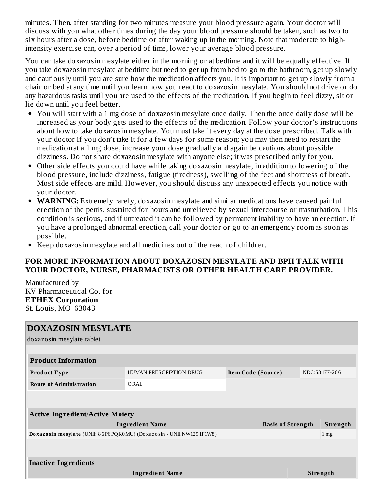minutes. Then, after standing for two minutes measure your blood pressure again. Your doctor will discuss with you what other times during the day your blood pressure should be taken, such as two to six hours after a dose, before bedtime or after waking up in the morning. Note that moderate to highintensity exercise can, over a period of time, lower your average blood pressure.

You can take doxazosin mesylate either in the morning or at bedtime and it will be equally effective. If you take doxazosin mesylate at bedtime but need to get up from bed to go to the bathroom, get up slowly and cautiously until you are sure how the medication affects you. It is important to get up slowly from a chair or bed at any time until you learn how you react to doxazosin mesylate. You should not drive or do any hazardous tasks until you are used to the effects of the medication. If you begin to feel dizzy, sit or lie down until you feel better.

- You will start with a 1 mg dose of doxazosin mesylate once daily. Then the once daily dose will be increased as your body gets used to the effects of the medication. Follow your doctor's instructions about how to take doxazosin mesylate. You must take it every day at the dose prescribed. Talk with your doctor if you don't take it for a few days for some reason; you may then need to restart the medication at a 1 mg dose, increase your dose gradually and again be cautions about possible dizziness. Do not share doxazosin mesylate with anyone else; it was prescribed only for you.
- Other side effects you could have while taking doxazosin mesylate, in addition to lowering of the blood pressure, include dizziness, fatigue (tiredness), swelling of the feet and shortness of breath. Most side effects are mild. However, you should discuss any unexpected effects you notice with your doctor.
- **WARNING:** Extremely rarely, doxazosin mesylate and similar medications have caused painful erection of the penis, sustained for hours and unrelieved by sexual intercourse or masturbation. This condition is serious, and if untreated it can be followed by permanent inability to have an erection. If you have a prolonged abnormal erection, call your doctor or go to an emergency room as soon as possible.
- Keep doxazosin mesylate and all medicines out of the reach of children.

### **FOR MORE INFORMATION ABOUT DOXAZOSIN MESYLATE AND BPH TALK WITH YOUR DOCTOR, NURSE, PHARMACISTS OR OTHER HEALTH CARE PROVIDER.**

Manufactured by KV Pharmaceutical Co. for **ETHEX Corporation** St. Louis, MO 63043

| <b>DOXAZOSIN MESYLATE</b><br>doxazosin mesylate tablet              |                         |                    |                          |  |                 |  |
|---------------------------------------------------------------------|-------------------------|--------------------|--------------------------|--|-----------------|--|
| <b>Product Information</b>                                          |                         |                    |                          |  |                 |  |
| <b>Product Type</b>                                                 | HUMAN PRESCRIPTION DRUG | Item Code (Source) |                          |  | NDC:58177-266   |  |
| <b>Route of Administration</b>                                      | ORAL                    |                    |                          |  |                 |  |
|                                                                     |                         |                    |                          |  |                 |  |
| <b>Active Ingredient/Active Moiety</b>                              |                         |                    |                          |  |                 |  |
|                                                                     | <b>Ingredient Name</b>  |                    | <b>Basis of Strength</b> |  | Strength        |  |
| Doxazosin mesylate (UNII: 86P6PQK0MU) (Doxazosin - UNII:NW1291F1W8) |                         |                    |                          |  | 1 <sub>mg</sub> |  |
|                                                                     |                         |                    |                          |  |                 |  |
| <b>Inactive Ingredients</b>                                         |                         |                    |                          |  |                 |  |
|                                                                     | <b>Ingredient Name</b>  |                    |                          |  | <b>Strength</b> |  |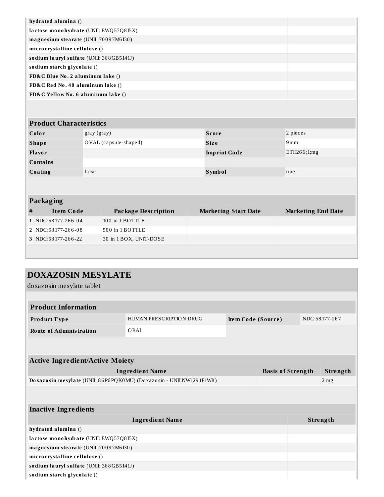| hydrated alumina ()                      |  |
|------------------------------------------|--|
| lactose monohydrate (UNII: EWQ57Q8I5X)   |  |
| magnesium stearate (UNII: 70097M6I30)    |  |
| microcrystalline cellulose ()            |  |
| sodium lauryl sulfate (UNII: 368GB5141J) |  |
| sodium starch glycolate ()               |  |
| FD&C Blue No. 2 aluminum lake ()         |  |
| FD&C Red No. 40 aluminum lake ()         |  |
| FD&C Yellow No. 6 aluminum lake ()       |  |

| <b>Product Characteristics</b> |                       |                     |             |  |  |  |
|--------------------------------|-----------------------|---------------------|-------------|--|--|--|
| Color                          | gray (gray)           | <b>Score</b>        | 2 pieces    |  |  |  |
| <b>Shape</b>                   | OVAL (capsule-shaped) | <b>Size</b>         | 9mm         |  |  |  |
| <b>Flavor</b>                  |                       | <b>Imprint Code</b> | ETH266;1;mg |  |  |  |
| <b>Contains</b>                |                       |                     |             |  |  |  |
| Coating                        | false                 | <b>Symbol</b>       | true        |  |  |  |
|                                |                       |                     |             |  |  |  |

| <b>Packaging</b> |
|------------------|
|------------------|

| . .                  |                        |                             |                           |
|----------------------|------------------------|-----------------------------|---------------------------|
| Item Code            | Package Description    | <b>Marketing Start Date</b> | <b>Marketing End Date</b> |
| $1$ NDC:58177-266-04 | 100 in 1 BOTTLE        |                             |                           |
| 2 NDC:58177-266-08   | 500 in 1 BOTTLE        |                             |                           |
| 3 NDC:58177-266-22   | 30 in 1 BOX, UNIT-DOSE |                             |                           |
|                      |                        |                             |                           |

| <b>DOXAZOSIN MESYLATE</b>                                           |                         |                    |                          |  |                 |  |
|---------------------------------------------------------------------|-------------------------|--------------------|--------------------------|--|-----------------|--|
| doxazosin mesylate tablet                                           |                         |                    |                          |  |                 |  |
|                                                                     |                         |                    |                          |  |                 |  |
| <b>Product Information</b>                                          |                         |                    |                          |  |                 |  |
| Product Type                                                        | HUMAN PRESCRIPTION DRUG | Item Code (Source) |                          |  | NDC:58177-267   |  |
| <b>Route of Administration</b>                                      | ORAL                    |                    |                          |  |                 |  |
|                                                                     |                         |                    |                          |  |                 |  |
| <b>Active Ingredient/Active Moiety</b>                              |                         |                    |                          |  |                 |  |
| <b>Ingredient Name</b>                                              |                         |                    | <b>Basis of Strength</b> |  | Strength        |  |
| Doxazosin mesylate (UNII: 86P6PQK0MU) (Doxazosin - UNII:NW1291F1W8) |                         |                    |                          |  | 2 <sub>mg</sub> |  |
|                                                                     |                         |                    |                          |  |                 |  |
| <b>Inactive Ingredients</b>                                         |                         |                    |                          |  |                 |  |
|                                                                     | <b>Ingredient Name</b>  |                    |                          |  | Strength        |  |
| hydrated alumina ()                                                 |                         |                    |                          |  |                 |  |
| lactose monohydrate (UNII: EWQ57Q8I5X)                              |                         |                    |                          |  |                 |  |
| magnesium stearate (UNII: 70097M6I30)                               |                         |                    |                          |  |                 |  |
| microcrystalline cellulose ()                                       |                         |                    |                          |  |                 |  |
| sodium lauryl sulfate (UNII: 368GB5141J)                            |                         |                    |                          |  |                 |  |
| sodium starch glycolate ()                                          |                         |                    |                          |  |                 |  |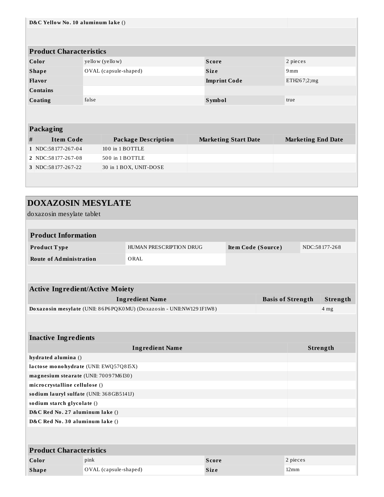| D&C Yellow No. 10 aluminum lake ()     |       |                       |                            |               |                             |               |                           |          |
|----------------------------------------|-------|-----------------------|----------------------------|---------------|-----------------------------|---------------|---------------------------|----------|
|                                        |       |                       |                            |               |                             |               |                           |          |
| <b>Product Characteristics</b>         |       |                       |                            |               |                             |               |                           |          |
| Color                                  |       | yellow (yellow)       |                            | <b>Score</b>  |                             |               | 2 pieces                  |          |
| <b>Shape</b>                           |       | OVAL (capsule-shaped) |                            | <b>Size</b>   |                             |               | 9mm                       |          |
| Flavor                                 |       |                       |                            |               | <b>Imprint Code</b>         |               | ETH267;2;mg               |          |
| <b>Contains</b>                        |       |                       |                            |               |                             |               |                           |          |
| Coating                                | false |                       |                            | <b>Symbol</b> |                             |               | true                      |          |
|                                        |       |                       |                            |               |                             |               |                           |          |
|                                        |       |                       |                            |               |                             |               |                           |          |
| Packaging                              |       |                       |                            |               |                             |               |                           |          |
| $\#$<br><b>Item Code</b>               |       |                       | <b>Package Description</b> |               | <b>Marketing Start Date</b> |               | <b>Marketing End Date</b> |          |
| 1 NDC:58177-267-04                     |       | 100 in 1 BOTTLE       |                            |               |                             |               |                           |          |
| 2 NDC:58177-267-08                     |       |                       | 500 in 1 BOTTLE            |               |                             |               |                           |          |
| 3 NDC:58177-267-22                     |       |                       | 30 in 1 BOX, UNIT-DOSE     |               |                             |               |                           |          |
|                                        |       |                       |                            |               |                             |               |                           |          |
|                                        |       |                       |                            |               |                             |               |                           |          |
| <b>DOXAZOSIN MESYLATE</b>              |       |                       |                            |               |                             |               |                           |          |
| doxazosin mesylate tablet              |       |                       |                            |               |                             |               |                           |          |
|                                        |       |                       |                            |               |                             |               |                           |          |
|                                        |       |                       |                            |               |                             |               |                           |          |
| <b>Product Information</b>             |       |                       |                            |               |                             |               |                           |          |
| Product Type                           |       |                       | HUMAN PRESCRIPTION DRUG    |               | Item Code (Source)          | NDC:58177-268 |                           |          |
| <b>Route of Administration</b>         |       |                       | ORAL                       |               |                             |               |                           |          |
|                                        |       |                       |                            |               |                             |               |                           |          |
|                                        |       |                       |                            |               |                             |               |                           |          |
| <b>Active Ingredient/Active Moiety</b> |       |                       |                            |               |                             |               |                           |          |
|                                        |       |                       | <b>Ingredient Name</b>     |               |                             |               | <b>Basis of Strength</b>  | Strength |
|                                        |       |                       |                            |               |                             |               |                           |          |

| <b>Inactive Ingredients</b>              |                                        |              |                |  |  |  |  |
|------------------------------------------|----------------------------------------|--------------|----------------|--|--|--|--|
|                                          | Strength                               |              |                |  |  |  |  |
| hydrated alumina ()                      |                                        |              |                |  |  |  |  |
|                                          | lactose monohydrate (UNII: EWQ57Q8I5X) |              |                |  |  |  |  |
| magnesium stearate (UNII: 70097M6I30)    |                                        |              |                |  |  |  |  |
| microcrystalline cellulose ()            |                                        |              |                |  |  |  |  |
| sodium lauryl sulfate (UNII: 368GB5141J) |                                        |              |                |  |  |  |  |
| sodium starch glycolate ()               |                                        |              |                |  |  |  |  |
| D&C Red No. 27 aluminum lake ()          |                                        |              |                |  |  |  |  |
| D&C Red No. 30 aluminum lake ()          |                                        |              |                |  |  |  |  |
|                                          |                                        |              |                |  |  |  |  |
| <b>Product Characteristics</b>           |                                        |              |                |  |  |  |  |
| Color                                    | pink                                   | <b>Score</b> | 2 pieces       |  |  |  |  |
| <b>Shape</b>                             | OVAL (capsule-shaped)                  | <b>Size</b>  | $12 \text{mm}$ |  |  |  |  |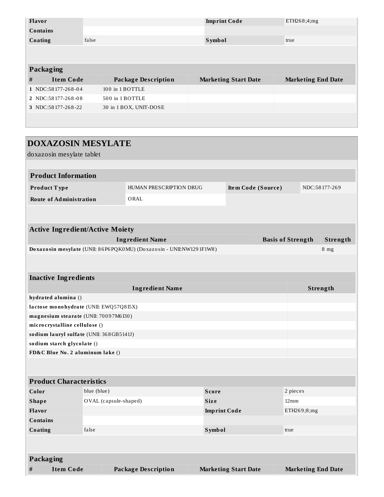|   | <b>Flavor</b>      |       |                            |  | <b>Imprint Code</b>         | ETH268;4;mg               |  |  |
|---|--------------------|-------|----------------------------|--|-----------------------------|---------------------------|--|--|
|   | <b>Contains</b>    |       |                            |  |                             |                           |  |  |
|   | Coating            | false |                            |  | <b>Symbol</b>               | true                      |  |  |
|   |                    |       |                            |  |                             |                           |  |  |
|   |                    |       |                            |  |                             |                           |  |  |
|   | <b>Packaging</b>   |       |                            |  |                             |                           |  |  |
| # | <b>Item Code</b>   |       | <b>Package Description</b> |  | <b>Marketing Start Date</b> | <b>Marketing End Date</b> |  |  |
|   | 1 NDC:58177-268-04 |       | 100 in 1 BOTTLE            |  |                             |                           |  |  |
|   | 2 NDC:58177-268-08 |       | 500 in 1 BOTTLE            |  |                             |                           |  |  |
|   | 3 NDC:58177-268-22 |       | 30 in 1 BOX, UNIT-DOSE     |  |                             |                           |  |  |
|   |                    |       |                            |  |                             |                           |  |  |

| <b>DOXAZOSIN MESYLATE</b>                                                 |                               |                                                                     |               |                             |                    |                           |                 |
|---------------------------------------------------------------------------|-------------------------------|---------------------------------------------------------------------|---------------|-----------------------------|--------------------|---------------------------|-----------------|
| doxazosin mesylate tablet                                                 |                               |                                                                     |               |                             |                    |                           |                 |
|                                                                           |                               |                                                                     |               |                             |                    |                           |                 |
| <b>Product Information</b>                                                |                               |                                                                     |               |                             |                    |                           |                 |
| Product Type                                                              |                               | HUMAN PRESCRIPTION DRUG                                             |               | Item Code (Source)          |                    |                           | NDC:58177-269   |
| <b>Route of Administration</b>                                            |                               | ORAL                                                                |               |                             |                    |                           |                 |
|                                                                           |                               |                                                                     |               |                             |                    |                           |                 |
|                                                                           |                               |                                                                     |               |                             |                    |                           |                 |
| <b>Active Ingredient/Active Moiety</b>                                    |                               |                                                                     |               |                             |                    |                           |                 |
|                                                                           |                               | <b>Ingredient Name</b>                                              |               |                             |                    | <b>Basis of Strength</b>  | Strength        |
|                                                                           |                               | Doxazosin mesylate (UNII: 86P6PQK0MU) (Doxazosin - UNII:NW1291F1W8) |               |                             |                    |                           | 8 <sub>mg</sub> |
|                                                                           |                               |                                                                     |               |                             |                    |                           |                 |
|                                                                           |                               |                                                                     |               |                             |                    |                           |                 |
| <b>Inactive Ingredients</b>                                               |                               |                                                                     |               |                             |                    |                           |                 |
|                                                                           |                               | <b>Ingredient Name</b>                                              |               |                             |                    |                           | Strength        |
| hydrated alumina ()                                                       |                               |                                                                     |               |                             |                    |                           |                 |
| lactose monohydrate (UNII: EWQ57Q8I5X)                                    |                               |                                                                     |               |                             |                    |                           |                 |
| magnesium stearate (UNII: 70097M6I30)                                     |                               |                                                                     |               |                             |                    |                           |                 |
| microcrystalline cellulose ()<br>sodium lauryl sulfate (UNII: 368GB5141J) |                               |                                                                     |               |                             |                    |                           |                 |
| sodium starch glycolate ()                                                |                               |                                                                     |               |                             |                    |                           |                 |
|                                                                           |                               |                                                                     |               |                             |                    |                           |                 |
| FD&C Blue No. 2 aluminum lake ()                                          |                               |                                                                     |               |                             |                    |                           |                 |
|                                                                           |                               |                                                                     |               |                             |                    |                           |                 |
| <b>Product Characteristics</b>                                            |                               |                                                                     |               |                             |                    |                           |                 |
| Color                                                                     | blue (blue)                   |                                                                     | <b>Score</b>  |                             |                    | 2 pieces                  |                 |
| <b>Shape</b>                                                              | OVAL (capsule-shaped)<br>Size |                                                                     |               |                             | $12 \,\mathrm{mm}$ |                           |                 |
| Flavor                                                                    | <b>Imprint Code</b>           |                                                                     |               |                             | ETH269;8;mg        |                           |                 |
| Contains                                                                  |                               |                                                                     |               |                             |                    |                           |                 |
| Coating                                                                   | false                         |                                                                     | <b>Symbol</b> |                             |                    | true                      |                 |
|                                                                           |                               |                                                                     |               |                             |                    |                           |                 |
|                                                                           |                               |                                                                     |               |                             |                    |                           |                 |
| Packaging                                                                 |                               |                                                                     |               |                             |                    |                           |                 |
| <b>Item Code</b><br>$\#$                                                  |                               | <b>Package Description</b>                                          |               | <b>Marketing Start Date</b> |                    | <b>Marketing End Date</b> |                 |